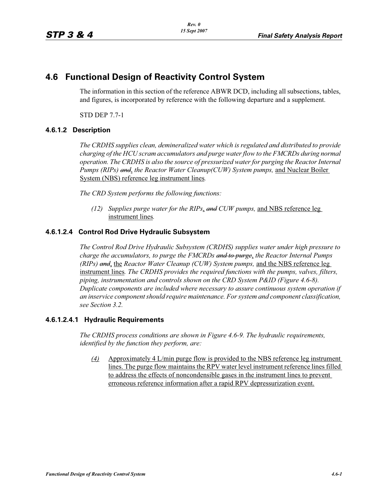# **4.6 Functional Design of Reactivity Control System**

The information in this section of the reference ABWR DCD, including all subsections, tables, and figures, is incorporated by reference with the following departure and a supplement.

STD DEP 7.7-1

## **4.6.1.2 Description**

*The CRDHS supplies clean, demineralized water which is regulated and distributed to provide charging of the HCU scram accumulators and purge water flow to the FMCRDs during normal operation. The CRDHS is also the source of pressurized water for purging the Reactor Internal Pumps (RIPs) and*, *the Reactor Water Cleanup(CUW) System pumps,* and Nuclear Boiler System (NBS) reference leg instrument lines*.*

*The CRD System performs the following functions:*

*(12) Supplies purge water for the RIPs*, *and CUW pumps,* and NBS reference leg instrument lines*.*

## **4.6.1.2.4 Control Rod Drive Hydraulic Subsystem**

*The Control Rod Drive Hydraulic Subsystem (CRDHS) supplies water under high pressure to charge the accumulators, to purge the FMCRDs and to purge*, *the Reactor Internal Pumps (RIPs) and*, the *Reactor Water Cleanup (CUW) System pumps,* and the NBS reference leg instrument lines*. The CRDHS provides the required functions with the pumps, valves, filters, piping, instrumentation and controls shown on the CRD System P&ID (Figure 4.6-8). Duplicate components are included where necessary to assure continuous system operation if an inservice component should require maintenance. For system and component classification, see Section 3.2.*

### **4.6.1.2.4.1 Hydraulic Requirements**

*The CRDHS process conditions are shown in Figure 4.6-9. The hydraulic requirements, identified by the function they perform, are:*

*(4)* Approximately 4 L/min purge flow is provided to the NBS reference leg instrument lines. The purge flow maintains the RPV water level instrument reference lines filled to address the effects of noncondensible gases in the instrument lines to prevent erroneous reference information after a rapid RPV depressurization event.